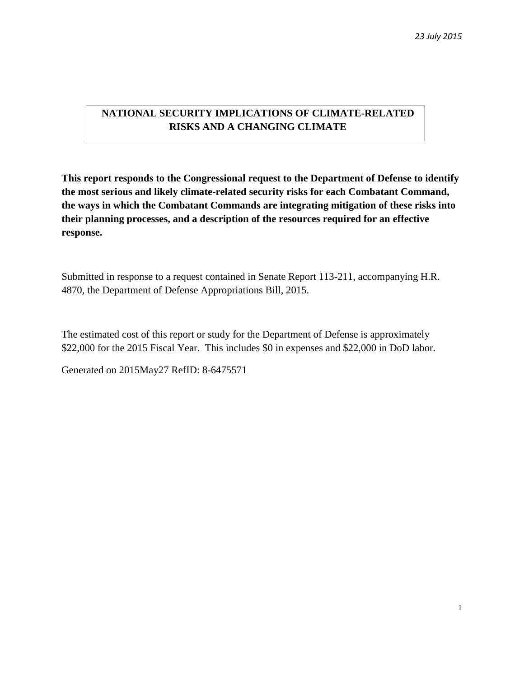# **NATIONAL SECURITY IMPLICATIONS OF CLIMATE-RELATED RISKS AND A CHANGING CLIMATE**

**This report responds to the Congressional request to the Department of Defense to identify the most serious and likely climate-related security risks for each Combatant Command, the ways in which the Combatant Commands are integrating mitigation of these risks into their planning processes, and a description of the resources required for an effective response.**

Submitted in response to a request contained in Senate Report 113-211, accompanying H.R. 4870, the Department of Defense Appropriations Bill, 2015.

The estimated cost of this report or study for the Department of Defense is approximately \$22,000 for the 2015 Fiscal Year. This includes \$0 in expenses and \$22,000 in DoD labor.

Generated on 2015May27 RefID: 8-6475571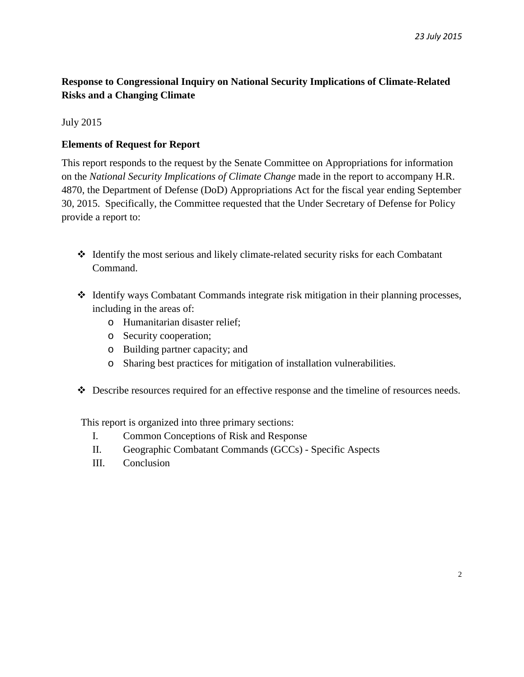# **Response to Congressional Inquiry on National Security Implications of Climate-Related Risks and a Changing Climate**

# July 2015

# **Elements of Request for Report**

This report responds to the request by the Senate Committee on Appropriations for information on the *National Security Implications of Climate Change* made in the report to accompany H.R. 4870, the Department of Defense (DoD) Appropriations Act for the fiscal year ending September 30, 2015. Specifically, the Committee requested that the Under Secretary of Defense for Policy provide a report to:

- Identify the most serious and likely climate-related security risks for each Combatant Command.
- Identify ways Combatant Commands integrate risk mitigation in their planning processes, including in the areas of:
	- o Humanitarian disaster relief;
	- o Security cooperation;
	- o Building partner capacity; and
	- o Sharing best practices for mitigation of installation vulnerabilities.
- Describe resources required for an effective response and the timeline of resources needs.

This report is organized into three primary sections:

- I. Common Conceptions of Risk and Response
- II. Geographic Combatant Commands (GCCs) Specific Aspects
- III. Conclusion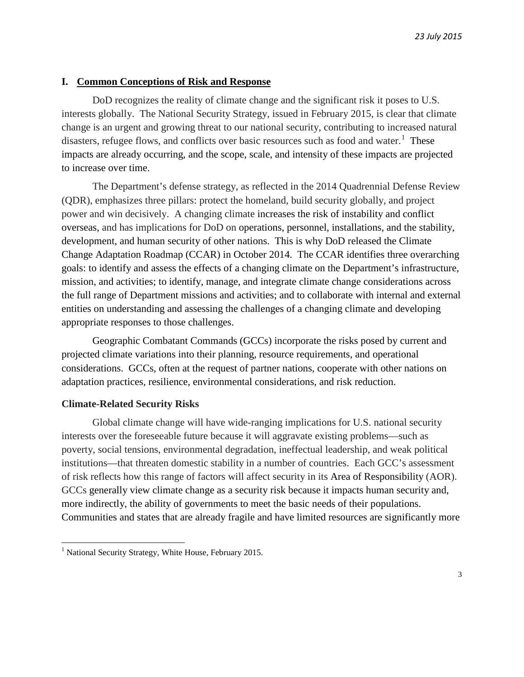#### **I. Common Conceptions of Risk and Response**

DoD recognizes the reality of climate change and the significant risk it poses to U.S. interests globally. The National Security Strategy, issued in February 2015, is clear that climate change is an urgent and growing threat to our national security, contributing to increased natural disasters, refugee flows, and conflicts over basic resources such as food and water. $<sup>1</sup>$  $<sup>1</sup>$  $<sup>1</sup>$  These</sup> impacts are already occurring, and the scope, scale, and intensity of these impacts are projected to increase over time.

The Department's defense strategy, as reflected in the 2014 Quadrennial Defense Review (QDR), emphasizes three pillars: protect the homeland, build security globally, and project power and win decisively. A changing climate increases the risk of instability and conflict overseas, and has implications for DoD on operations, personnel, installations, and the stability, development, and human security of other nations. This is why DoD released the Climate Change Adaptation Roadmap (CCAR) in October 2014. The CCAR identifies three overarching goals: to identify and assess the effects of a changing climate on the Department's infrastructure, mission, and activities; to identify, manage, and integrate climate change considerations across the full range of Department missions and activities; and to collaborate with internal and external entities on understanding and assessing the challenges of a changing climate and developing appropriate responses to those challenges.

Geographic Combatant Commands (GCCs) incorporate the risks posed by current and projected climate variations into their planning, resource requirements, and operational considerations. GCCs, often at the request of partner nations, cooperate with other nations on adaptation practices, resilience, environmental considerations, and risk reduction.

#### **Climate-Related Security Risks**

l

Global climate change will have wide-ranging implications for U.S. national security interests over the foreseeable future because it will aggravate existing problems—such as poverty, social tensions, environmental degradation, ineffectual leadership, and weak political institutions—that threaten domestic stability in a number of countries. Each GCC's assessment of risk reflects how this range of factors will affect security in its Area of Responsibility (AOR). GCCs generally view climate change as a security risk because it impacts human security and, more indirectly, the ability of governments to meet the basic needs of their populations. Communities and states that are already fragile and have limited resources are significantly more

<span id="page-2-0"></span><sup>&</sup>lt;sup>1</sup> National Security Strategy, White House, February 2015.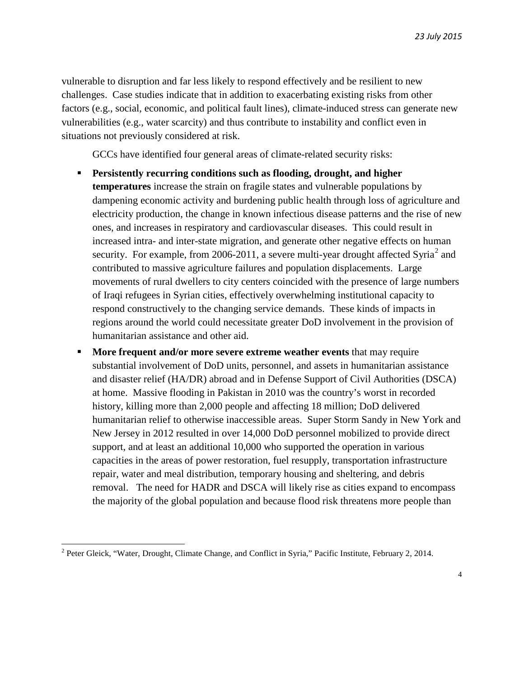vulnerable to disruption and far less likely to respond effectively and be resilient to new challenges. Case studies indicate that in addition to exacerbating existing risks from other factors (e.g., social, economic, and political fault lines), climate-induced stress can generate new vulnerabilities (e.g., water scarcity) and thus contribute to instability and conflict even in situations not previously considered at risk.

GCCs have identified four general areas of climate-related security risks:

- **Persistently recurring conditions such as flooding, drought, and higher temperatures** increase the strain on fragile states and vulnerable populations by dampening economic activity and burdening public health through loss of agriculture and electricity production, the change in known infectious disease patterns and the rise of new ones, and increases in respiratory and cardiovascular diseases. This could result in increased intra- and inter-state migration, and generate other negative effects on human security. For example, from [2](#page-3-0)006-2011, a severe multi-year drought affected Syria<sup>2</sup> and contributed to massive agriculture failures and population displacements. Large movements of rural dwellers to city centers coincided with the presence of large numbers of Iraqi refugees in Syrian cities, effectively overwhelming institutional capacity to respond constructively to the changing service demands. These kinds of impacts in regions around the world could necessitate greater DoD involvement in the provision of humanitarian assistance and other aid.
- **More frequent and/or more severe extreme weather events** that may require substantial involvement of DoD units, personnel, and assets in humanitarian assistance and disaster relief (HA/DR) abroad and in Defense Support of Civil Authorities (DSCA) at home. Massive flooding in Pakistan in 2010 was the country's worst in recorded history, killing more than 2,000 people and affecting 18 million; DoD delivered humanitarian relief to otherwise inaccessible areas. Super Storm Sandy in New York and New Jersey in 2012 resulted in over 14,000 DoD personnel mobilized to provide direct support, and at least an additional 10,000 who supported the operation in various capacities in the areas of power restoration, fuel resupply, transportation infrastructure repair, water and meal distribution, temporary housing and sheltering, and debris removal. The need for HADR and DSCA will likely rise as cities expand to encompass the majority of the global population and because flood risk threatens more people than

<span id="page-3-0"></span><sup>&</sup>lt;sup>2</sup> Peter Gleick, "Water, Drought, Climate Change, and Conflict in Syria," Pacific Institute, February 2, 2014.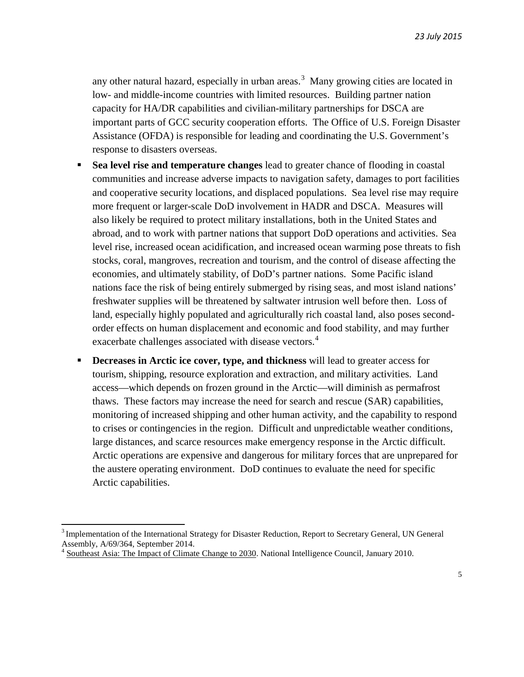any other natural hazard, especially in urban areas.<sup>[3](#page-4-0)</sup> Many growing cities are located in low- and middle-income countries with limited resources. Building partner nation capacity for HA/DR capabilities and civilian-military partnerships for DSCA are important parts of GCC security cooperation efforts. The Office of U.S. Foreign Disaster Assistance (OFDA) is responsible for leading and coordinating the U.S. Government's response to disasters overseas.

- **Sea level rise and temperature changes** lead to greater chance of flooding in coastal communities and increase adverse impacts to navigation safety, damages to port facilities and cooperative security locations, and displaced populations. Sea level rise may require more frequent or larger-scale DoD involvement in HADR and DSCA. Measures will also likely be required to protect military installations, both in the United States and abroad, and to work with partner nations that support DoD operations and activities. Sea level rise, increased ocean acidification, and increased ocean warming pose threats to fish stocks, coral, mangroves, recreation and tourism, and the control of disease affecting the economies, and ultimately stability, of DoD's partner nations. Some Pacific island nations face the risk of being entirely submerged by rising seas, and most island nations' freshwater supplies will be threatened by saltwater intrusion well before then. Loss of land, especially highly populated and agriculturally rich coastal land, also poses secondorder effects on human displacement and economic and food stability, and may further exacerbate challenges associated with disease vectors.<sup>[4](#page-4-1)</sup>
- **Decreases in Arctic ice cover, type, and thickness** will lead to greater access for tourism, shipping, resource exploration and extraction, and military activities. Land access—which depends on frozen ground in the Arctic—will diminish as permafrost thaws. These factors may increase the need for search and rescue (SAR) capabilities, monitoring of increased shipping and other human activity, and the capability to respond to crises or contingencies in the region. Difficult and unpredictable weather conditions, large distances, and scarce resources make emergency response in the Arctic difficult. Arctic operations are expensive and dangerous for military forces that are unprepared for the austere operating environment. DoD continues to evaluate the need for specific Arctic capabilities.

<span id="page-4-0"></span><sup>&</sup>lt;sup>3</sup> Implementation of the International Strategy for Disaster Reduction, Report to Secretary General, UN General Assembly, A/69/364, September 2014.

<span id="page-4-1"></span><sup>&</sup>lt;sup>4</sup> Southeast Asia: The Impact of Climate Change to 2030. National Intelligence Council, January 2010.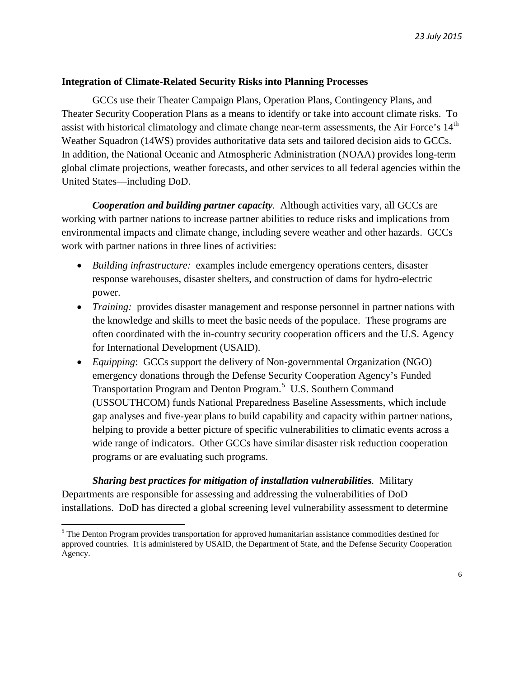### **Integration of Climate-Related Security Risks into Planning Processes**

GCCs use their Theater Campaign Plans, Operation Plans, Contingency Plans, and Theater Security Cooperation Plans as a means to identify or take into account climate risks. To assist with historical climatology and climate change near-term assessments, the Air Force's 14<sup>th</sup> Weather Squadron (14WS) provides authoritative data sets and tailored decision aids to GCCs. In addition, the National Oceanic and Atmospheric Administration (NOAA) provides long-term global climate projections, weather forecasts, and other services to all federal agencies within the United States—including DoD.

*Cooperation and building partner capacity.* Although activities vary, all GCCs are working with partner nations to increase partner abilities to reduce risks and implications from environmental impacts and climate change, including severe weather and other hazards. GCCs work with partner nations in three lines of activities:

- *Building infrastructure:* examples include emergency operations centers, disaster response warehouses, disaster shelters, and construction of dams for hydro-electric power.
- *Training:* provides disaster management and response personnel in partner nations with the knowledge and skills to meet the basic needs of the populace. These programs are often coordinated with the in-country security cooperation officers and the U.S. Agency for International Development (USAID).
- *Equipping*: GCCs support the delivery of Non-governmental Organization (NGO) emergency donations through the Defense Security Cooperation Agency's Funded Transportation Program and Denton Program.<sup>[5](#page-5-0)</sup> U.S. Southern Command (USSOUTHCOM) funds National Preparedness Baseline Assessments, which include gap analyses and five-year plans to build capability and capacity within partner nations, helping to provide a better picture of specific vulnerabilities to climatic events across a wide range of indicators. Other GCCs have similar disaster risk reduction cooperation programs or are evaluating such programs.

*Sharing best practices for mitigation of installation vulnerabilities.* Military Departments are responsible for assessing and addressing the vulnerabilities of DoD installations. DoD has directed a global screening level vulnerability assessment to determine

<span id="page-5-0"></span> $<sup>5</sup>$  The Denton Program provides transportation for approved humanitarian assistance commodities destined for</sup> approved countries. It is administered by USAID, the Department of State, and the Defense Security Cooperation Agency.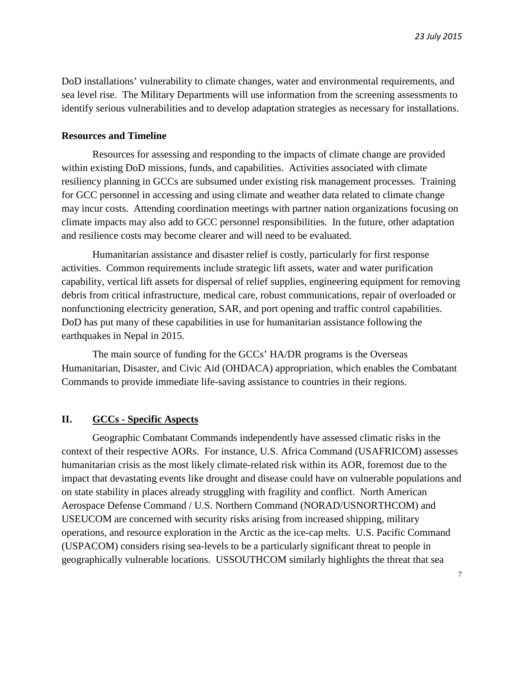DoD installations' vulnerability to climate changes, water and environmental requirements, and sea level rise. The Military Departments will use information from the screening assessments to identify serious vulnerabilities and to develop adaptation strategies as necessary for installations.

#### **Resources and Timeline**

Resources for assessing and responding to the impacts of climate change are provided within existing DoD missions, funds, and capabilities. Activities associated with climate resiliency planning in GCCs are subsumed under existing risk management processes. Training for GCC personnel in accessing and using climate and weather data related to climate change may incur costs. Attending coordination meetings with partner nation organizations focusing on climate impacts may also add to GCC personnel responsibilities. In the future, other adaptation and resilience costs may become clearer and will need to be evaluated.

Humanitarian assistance and disaster relief is costly, particularly for first response activities. Common requirements include strategic lift assets, water and water purification capability, vertical lift assets for dispersal of relief supplies, engineering equipment for removing debris from critical infrastructure, medical care, robust communications, repair of overloaded or nonfunctioning electricity generation, SAR, and port opening and traffic control capabilities. DoD has put many of these capabilities in use for humanitarian assistance following the earthquakes in Nepal in 2015.

The main source of funding for the GCCs' HA/DR programs is the Overseas Humanitarian, Disaster, and Civic Aid (OHDACA) appropriation, which enables the Combatant Commands to provide immediate life-saving assistance to countries in their regions.

# **II. GCCs - Specific Aspects**

Geographic Combatant Commands independently have assessed climatic risks in the context of their respective AORs. For instance, U.S. Africa Command (USAFRICOM) assesses humanitarian crisis as the most likely climate-related risk within its AOR, foremost due to the impact that devastating events like drought and disease could have on vulnerable populations and on state stability in places already struggling with fragility and conflict. North American Aerospace Defense Command / U.S. Northern Command (NORAD/USNORTHCOM) and USEUCOM are concerned with security risks arising from increased shipping, military operations, and resource exploration in the Arctic as the ice-cap melts. U.S. Pacific Command (USPACOM) considers rising sea-levels to be a particularly significant threat to people in geographically vulnerable locations. USSOUTHCOM similarly highlights the threat that sea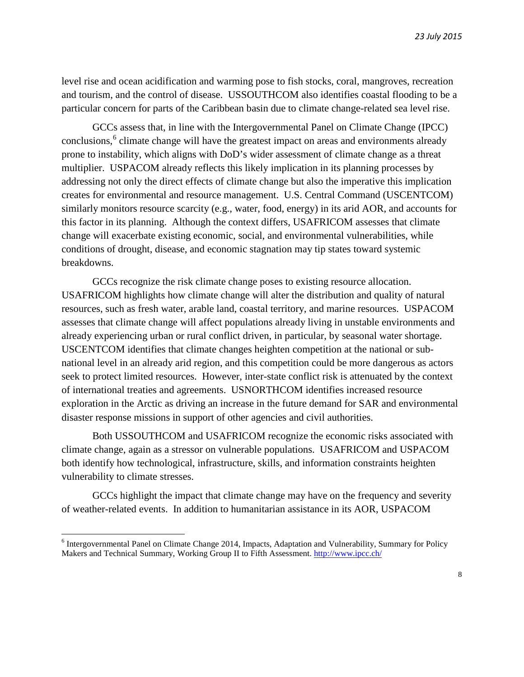level rise and ocean acidification and warming pose to fish stocks, coral, mangroves, recreation and tourism, and the control of disease. USSOUTHCOM also identifies coastal flooding to be a particular concern for parts of the Caribbean basin due to climate change-related sea level rise.

GCCs assess that, in line with the Intergovernmental Panel on Climate Change (IPCC) conclusions, [6](#page-7-0) climate change will have the greatest impact on areas and environments already prone to instability, which aligns with DoD's wider assessment of climate change as a threat multiplier. USPACOM already reflects this likely implication in its planning processes by addressing not only the direct effects of climate change but also the imperative this implication creates for environmental and resource management. U.S. Central Command (USCENTCOM) similarly monitors resource scarcity (e.g., water, food, energy) in its arid AOR, and accounts for this factor in its planning. Although the context differs, USAFRICOM assesses that climate change will exacerbate existing economic, social, and environmental vulnerabilities, while conditions of drought, disease, and economic stagnation may tip states toward systemic breakdowns.

GCCs recognize the risk climate change poses to existing resource allocation. USAFRICOM highlights how climate change will alter the distribution and quality of natural resources, such as fresh water, arable land, coastal territory, and marine resources. USPACOM assesses that climate change will affect populations already living in unstable environments and already experiencing urban or rural conflict driven, in particular, by seasonal water shortage. USCENTCOM identifies that climate changes heighten competition at the national or subnational level in an already arid region, and this competition could be more dangerous as actors seek to protect limited resources. However, inter-state conflict risk is attenuated by the context of international treaties and agreements. USNORTHCOM identifies increased resource exploration in the Arctic as driving an increase in the future demand for SAR and environmental disaster response missions in support of other agencies and civil authorities.

Both USSOUTHCOM and USAFRICOM recognize the economic risks associated with climate change, again as a stressor on vulnerable populations. USAFRICOM and USPACOM both identify how technological, infrastructure, skills, and information constraints heighten vulnerability to climate stresses.

GCCs highlight the impact that climate change may have on the frequency and severity of weather-related events. In addition to humanitarian assistance in its AOR, USPACOM

<span id="page-7-0"></span><sup>6</sup> Intergovernmental Panel on Climate Change 2014, Impacts, Adaptation and Vulnerability, Summary for Policy Makers and Technical Summary, Working Group II to Fifth Assessment. <http://www.ipcc.ch/>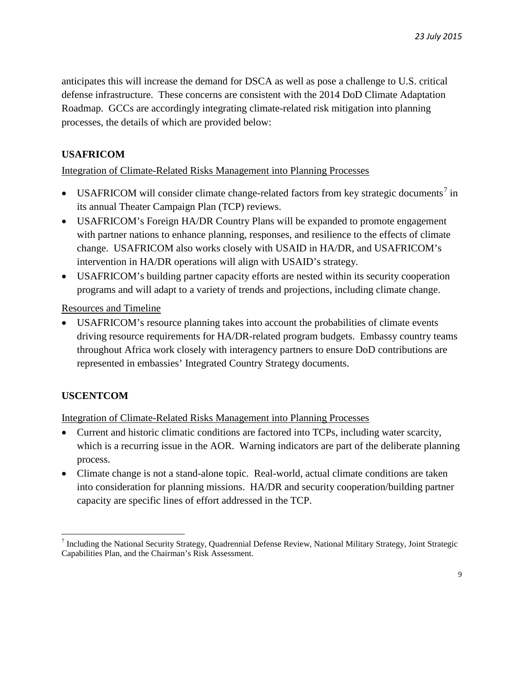anticipates this will increase the demand for DSCA as well as pose a challenge to U.S. critical defense infrastructure. These concerns are consistent with the 2014 DoD Climate Adaptation Roadmap. GCCs are accordingly integrating climate-related risk mitigation into planning processes, the details of which are provided below:

# **USAFRICOM**

Integration of Climate-Related Risks Management into Planning Processes

- USAFRICOM will consider climate change-related factors from key strategic documents<sup>[7](#page-8-0)</sup> in its annual Theater Campaign Plan (TCP) reviews.
- USAFRICOM's Foreign HA/DR Country Plans will be expanded to promote engagement with partner nations to enhance planning, responses, and resilience to the effects of climate change. USAFRICOM also works closely with USAID in HA/DR, and USAFRICOM's intervention in HA/DR operations will align with USAID's strategy.
- USAFRICOM's building partner capacity efforts are nested within its security cooperation programs and will adapt to a variety of trends and projections, including climate change.

Resources and Timeline

• USAFRICOM's resource planning takes into account the probabilities of climate events driving resource requirements for HA/DR-related program budgets. Embassy country teams throughout Africa work closely with interagency partners to ensure DoD contributions are represented in embassies' Integrated Country Strategy documents.

# **USCENTCOM**

Integration of Climate-Related Risks Management into Planning Processes

- Current and historic climatic conditions are factored into TCPs, including water scarcity, which is a recurring issue in the AOR. Warning indicators are part of the deliberate planning process.
- Climate change is not a stand-alone topic. Real-world, actual climate conditions are taken into consideration for planning missions. HA/DR and security cooperation/building partner capacity are specific lines of effort addressed in the TCP.

<span id="page-8-0"></span><sup>7</sup> Including the National Security Strategy, Quadrennial Defense Review, National Military Strategy, Joint Strategic Capabilities Plan, and the Chairman's Risk Assessment.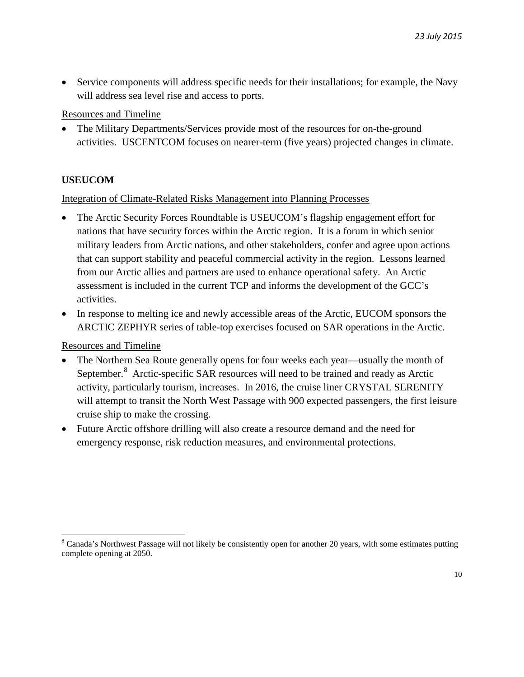• Service components will address specific needs for their installations; for example, the Navy will address sea level rise and access to ports.

Resources and Timeline

• The Military Departments/Services provide most of the resources for on-the-ground activities. USCENTCOM focuses on nearer-term (five years) projected changes in climate.

# **USEUCOM**

# Integration of Climate-Related Risks Management into Planning Processes

- The Arctic Security Forces Roundtable is USEUCOM's flagship engagement effort for nations that have security forces within the Arctic region. It is a forum in which senior military leaders from Arctic nations, and other stakeholders, confer and agree upon actions that can support stability and peaceful commercial activity in the region. Lessons learned from our Arctic allies and partners are used to enhance operational safety. An Arctic assessment is included in the current TCP and informs the development of the GCC's activities.
- In response to melting ice and newly accessible areas of the Arctic, EUCOM sponsors the ARCTIC ZEPHYR series of table-top exercises focused on SAR operations in the Arctic.

Resources and Timeline

- The Northern Sea Route generally opens for four weeks each year—usually the month of September.<sup>[8](#page-9-0)</sup> Arctic-specific SAR resources will need to be trained and ready as Arctic activity, particularly tourism, increases. In 2016, the cruise liner CRYSTAL SERENITY will attempt to transit the North West Passage with 900 expected passengers, the first leisure cruise ship to make the crossing.
- Future Arctic offshore drilling will also create a resource demand and the need for emergency response, risk reduction measures, and environmental protections.

<span id="page-9-0"></span><sup>&</sup>lt;sup>8</sup> Canada's Northwest Passage will not likely be consistently open for another 20 years, with some estimates putting complete opening at 2050.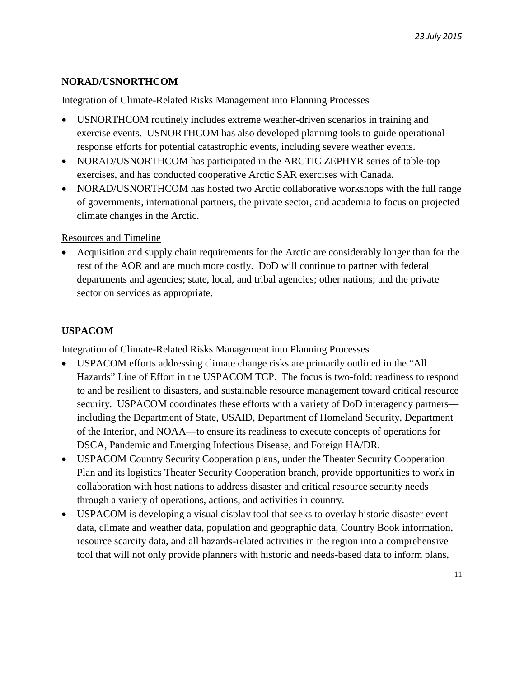# **NORAD/USNORTHCOM**

#### Integration of Climate-Related Risks Management into Planning Processes

- USNORTHCOM routinely includes extreme weather-driven scenarios in training and exercise events. USNORTHCOM has also developed planning tools to guide operational response efforts for potential catastrophic events, including severe weather events.
- NORAD/USNORTHCOM has participated in the ARCTIC ZEPHYR series of table-top exercises, and has conducted cooperative Arctic SAR exercises with Canada.
- NORAD/USNORTHCOM has hosted two Arctic collaborative workshops with the full range of governments, international partners, the private sector, and academia to focus on projected climate changes in the Arctic.

#### Resources and Timeline

• Acquisition and supply chain requirements for the Arctic are considerably longer than for the rest of the AOR and are much more costly. DoD will continue to partner with federal departments and agencies; state, local, and tribal agencies; other nations; and the private sector on services as appropriate.

# **USPACOM**

Integration of Climate-Related Risks Management into Planning Processes

- USPACOM efforts addressing climate change risks are primarily outlined in the "All Hazards" Line of Effort in the USPACOM TCP. The focus is two-fold: readiness to respond to and be resilient to disasters, and sustainable resource management toward critical resource security. USPACOM coordinates these efforts with a variety of DoD interagency partners including the Department of State, USAID, Department of Homeland Security, Department of the Interior, and NOAA—to ensure its readiness to execute concepts of operations for DSCA, Pandemic and Emerging Infectious Disease, and Foreign HA/DR.
- USPACOM Country Security Cooperation plans, under the Theater Security Cooperation Plan and its logistics Theater Security Cooperation branch, provide opportunities to work in collaboration with host nations to address disaster and critical resource security needs through a variety of operations, actions, and activities in country.
- USPACOM is developing a visual display tool that seeks to overlay historic disaster event data, climate and weather data, population and geographic data, Country Book information, resource scarcity data, and all hazards-related activities in the region into a comprehensive tool that will not only provide planners with historic and needs-based data to inform plans,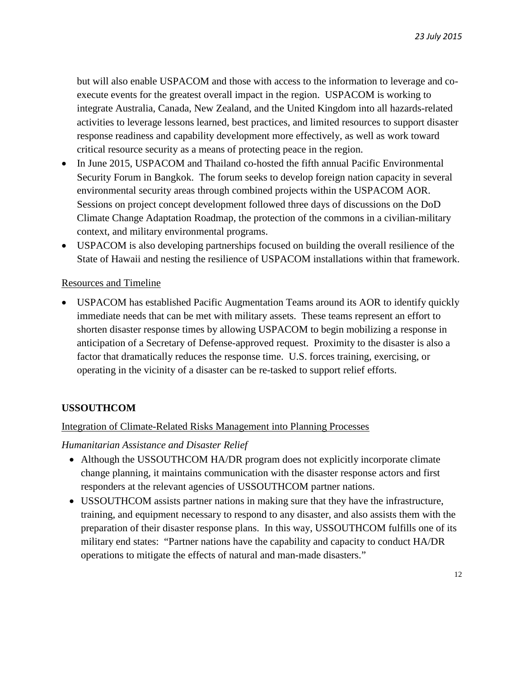but will also enable USPACOM and those with access to the information to leverage and coexecute events for the greatest overall impact in the region. USPACOM is working to integrate Australia, Canada, New Zealand, and the United Kingdom into all hazards-related activities to leverage lessons learned, best practices, and limited resources to support disaster response readiness and capability development more effectively, as well as work toward critical resource security as a means of protecting peace in the region.

- In June 2015, USPACOM and Thailand co-hosted the fifth annual Pacific Environmental Security Forum in Bangkok. The forum seeks to develop foreign nation capacity in several environmental security areas through combined projects within the USPACOM AOR. Sessions on project concept development followed three days of discussions on the DoD Climate Change Adaptation Roadmap, the protection of the commons in a civilian-military context, and military environmental programs.
- USPACOM is also developing partnerships focused on building the overall resilience of the State of Hawaii and nesting the resilience of USPACOM installations within that framework.

#### Resources and Timeline

• USPACOM has established Pacific Augmentation Teams around its AOR to identify quickly immediate needs that can be met with military assets. These teams represent an effort to shorten disaster response times by allowing USPACOM to begin mobilizing a response in anticipation of a Secretary of Defense-approved request. Proximity to the disaster is also a factor that dramatically reduces the response time. U.S. forces training, exercising, or operating in the vicinity of a disaster can be re-tasked to support relief efforts.

# **USSOUTHCOM**

#### Integration of Climate-Related Risks Management into Planning Processes

#### *Humanitarian Assistance and Disaster Relief*

- Although the USSOUTHCOM HA/DR program does not explicitly incorporate climate change planning, it maintains communication with the disaster response actors and first responders at the relevant agencies of USSOUTHCOM partner nations.
- USSOUTHCOM assists partner nations in making sure that they have the infrastructure, training, and equipment necessary to respond to any disaster, and also assists them with the preparation of their disaster response plans. In this way, USSOUTHCOM fulfills one of its military end states: "Partner nations have the capability and capacity to conduct HA/DR operations to mitigate the effects of natural and man-made disasters."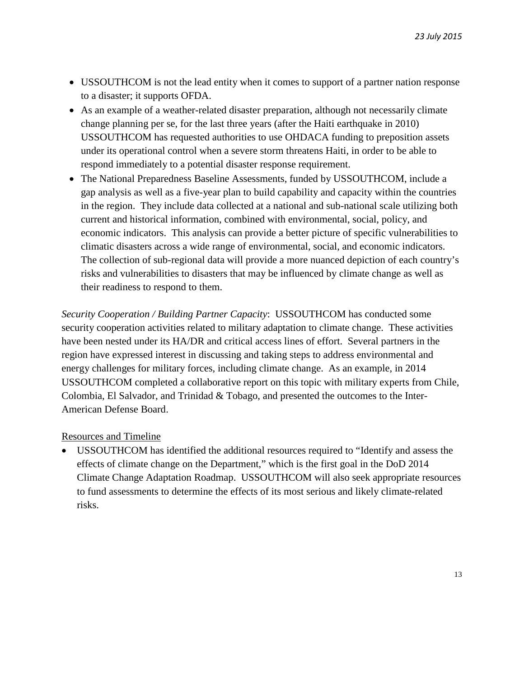- USSOUTHCOM is not the lead entity when it comes to support of a partner nation response to a disaster; it supports OFDA.
- As an example of a weather-related disaster preparation, although not necessarily climate change planning per se, for the last three years (after the Haiti earthquake in 2010) USSOUTHCOM has requested authorities to use OHDACA funding to preposition assets under its operational control when a severe storm threatens Haiti, in order to be able to respond immediately to a potential disaster response requirement.
- The National Preparedness Baseline Assessments, funded by USSOUTHCOM, include a gap analysis as well as a five-year plan to build capability and capacity within the countries in the region. They include data collected at a national and sub-national scale utilizing both current and historical information, combined with environmental, social, policy, and economic indicators. This analysis can provide a better picture of specific vulnerabilities to climatic disasters across a wide range of environmental, social, and economic indicators. The collection of sub-regional data will provide a more nuanced depiction of each country's risks and vulnerabilities to disasters that may be influenced by climate change as well as their readiness to respond to them.

*Security Cooperation / Building Partner Capacity*: USSOUTHCOM has conducted some security cooperation activities related to military adaptation to climate change. These activities have been nested under its HA/DR and critical access lines of effort. Several partners in the region have expressed interest in discussing and taking steps to address environmental and energy challenges for military forces, including climate change. As an example, in 2014 USSOUTHCOM completed a collaborative report on this topic with military experts from Chile, Colombia, El Salvador, and Trinidad & Tobago, and presented the outcomes to the Inter-American Defense Board.

#### Resources and Timeline

• USSOUTHCOM has identified the additional resources required to "Identify and assess the effects of climate change on the Department," which is the first goal in the DoD 2014 Climate Change Adaptation Roadmap. USSOUTHCOM will also seek appropriate resources to fund assessments to determine the effects of its most serious and likely climate-related risks.